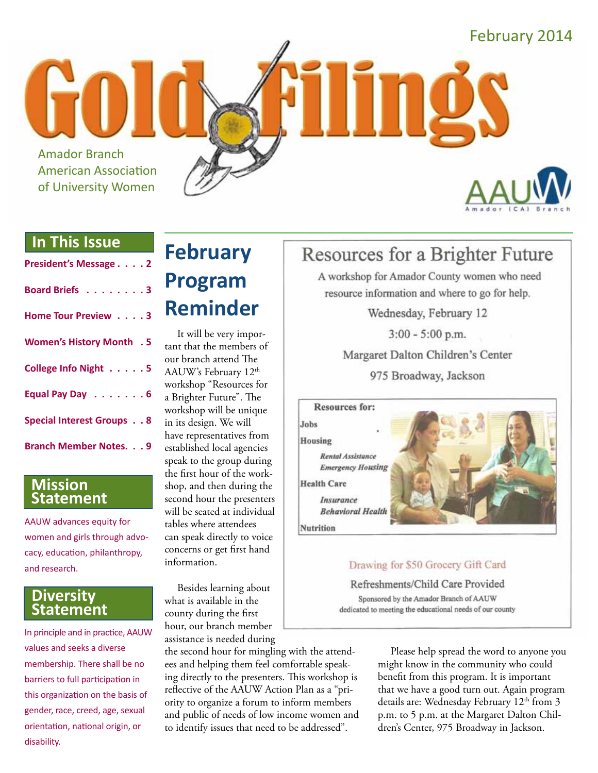Amador Branch American Association of University Women





#### **In This Issue**

| President's Message 2            |  |
|----------------------------------|--|
| Board Briefs 3                   |  |
| Home Tour Preview 3              |  |
| <b>Women's History Month . 5</b> |  |
| College Info Night 5             |  |
| Equal Pay Day 6                  |  |
| <b>Special Interest Groups 8</b> |  |
| <b>Branch Member Notes. 9</b>    |  |

#### **Mission Statement**

AAUW advances equity for women and girls through advocacy, education, philanthropy, and research.

#### **Diversity Statement**

In principle and in practice, AAUW values and seeks a diverse membership. There shall be no barriers to full participation in this organization on the basis of gender, race, creed, age, sexual orientation, national origin, or disability.

## **February Program Reminder**

It will be very important that the members of our branch attend The AAUW's February 12<sup>th</sup> workshop "Resources for a Brighter Future". The workshop will be unique in its design. We will have representatives from established local agencies speak to the group during the first hour of the workshop, and then during the second hour the presenters will be seated at individual tables where attendees can speak directly to voice concerns or get first hand information.

Besides learning about what is available in the county during the first hour, our branch member assistance is needed during

the second hour for mingling with the attendees and helping them feel comfortable speaking directly to the presenters. This workshop is reflective of the AAUW Action Plan as a "priority to organize a forum to inform members and public of needs of low income women and to identify issues that need to be addressed".

## Resources for a Brighter Future

A workshop for Amador County women who need resource information and where to go for help.

Wednesday, February 12

 $3:00 - 5:00$  p.m.

Margaret Dalton Children's Center

975 Broadway, Jackson

**Resources for:** Jobs

Housing

Rental Assistance

**Emergency Housing** 

Insurance

**Health Care** 

**Behavioral Health** 

**Nutrition** 

#### Drawing for \$50 Grocery Gift Card

Refreshments/Child Care Provided Sponsored by the Amador Branch of AAUW dedicated to meeting the educational needs of our county

> Please help spread the word to anyone you might know in the community who could benefit from this program. It is important that we have a good turn out. Again program details are: Wednesday February 12<sup>th</sup> from 3 p.m. to 5 p.m. at the Margaret Dalton Children's Center, 975 Broadway in Jackson.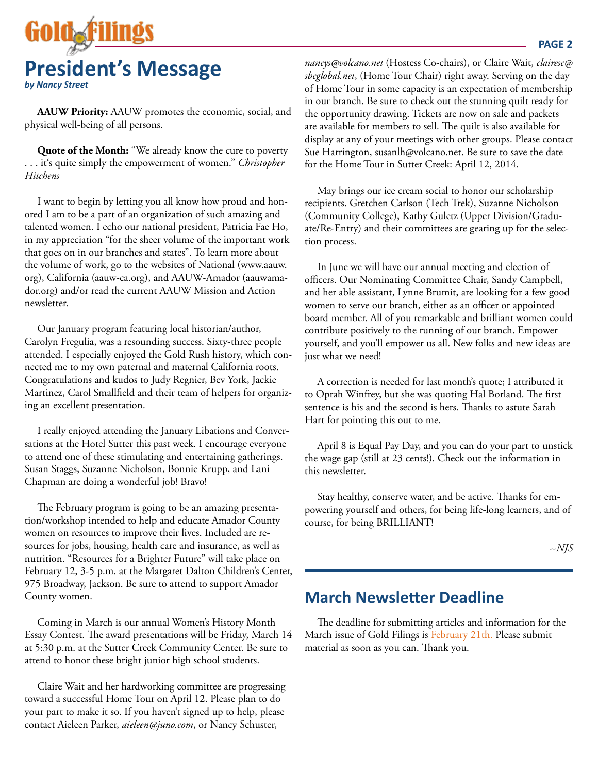

**AAUW Priority:** AAUW promotes the economic, social, and physical well-being of all persons.

**Quote of the Month:** "We already know the cure to poverty . . . it's quite simply the empowerment of women." *Christopher Hitchens*

I want to begin by letting you all know how proud and honored I am to be a part of an organization of such amazing and talented women. I echo our national president, Patricia Fae Ho, in my appreciation "for the sheer volume of the important work that goes on in our branches and states". To learn more about the volume of work, go to the websites of National (www.aauw. org), California (aauw-ca.org), and AAUW-Amador (aauwamador.org) and/or read the current AAUW Mission and Action newsletter.

Our January program featuring local historian/author, Carolyn Fregulia, was a resounding success. Sixty-three people attended. I especially enjoyed the Gold Rush history, which connected me to my own paternal and maternal California roots. Congratulations and kudos to Judy Regnier, Bev York, Jackie Martinez, Carol Smallfield and their team of helpers for organizing an excellent presentation.

I really enjoyed attending the January Libations and Conversations at the Hotel Sutter this past week. I encourage everyone to attend one of these stimulating and entertaining gatherings. Susan Staggs, Suzanne Nicholson, Bonnie Krupp, and Lani Chapman are doing a wonderful job! Bravo!

The February program is going to be an amazing presentation/workshop intended to help and educate Amador County women on resources to improve their lives. Included are resources for jobs, housing, health care and insurance, as well as nutrition. "Resources for a Brighter Future" will take place on February 12, 3-5 p.m. at the Margaret Dalton Children's Center, 975 Broadway, Jackson. Be sure to attend to support Amador County women.

Coming in March is our annual Women's History Month Essay Contest. The award presentations will be Friday, March 14 at 5:30 p.m. at the Sutter Creek Community Center. Be sure to attend to honor these bright junior high school students.

Claire Wait and her hardworking committee are progressing toward a successful Home Tour on April 12. Please plan to do your part to make it so. If you haven't signed up to help, please contact Aieleen Parker, *aieleen@juno.com*, or Nancy Schuster,

*nancys@volcano.net* (Hostess Co-chairs), or Claire Wait, *clairesc@ sbcglobal.net*, (Home Tour Chair) right away. Serving on the day of Home Tour in some capacity is an expectation of membership in our branch. Be sure to check out the stunning quilt ready for the opportunity drawing. Tickets are now on sale and packets are available for members to sell. The quilt is also available for display at any of your meetings with other groups. Please contact Sue Harrington, susanlh@volcano.net. Be sure to save the date for the Home Tour in Sutter Creek: April 12, 2014.

May brings our ice cream social to honor our scholarship recipients. Gretchen Carlson (Tech Trek), Suzanne Nicholson (Community College), Kathy Guletz (Upper Division/Graduate/Re-Entry) and their committees are gearing up for the selection process.

In June we will have our annual meeting and election of officers. Our Nominating Committee Chair, Sandy Campbell, and her able assistant, Lynne Brumit, are looking for a few good women to serve our branch, either as an officer or appointed board member. All of you remarkable and brilliant women could contribute positively to the running of our branch. Empower yourself, and you'll empower us all. New folks and new ideas are just what we need!

A correction is needed for last month's quote; I attributed it to Oprah Winfrey, but she was quoting Hal Borland. The first sentence is his and the second is hers. Thanks to astute Sarah Hart for pointing this out to me.

April 8 is Equal Pay Day, and you can do your part to unstick the wage gap (still at 23 cents!). Check out the information in this newsletter.

Stay healthy, conserve water, and be active. Thanks for empowering yourself and others, for being life-long learners, and of course, for being BRILLIANT!

*--NJS*

#### **March Newsletter Deadline**

The deadline for submitting articles and information for the March issue of Gold Filings is February 21th. Please submit material as soon as you can. Thank you.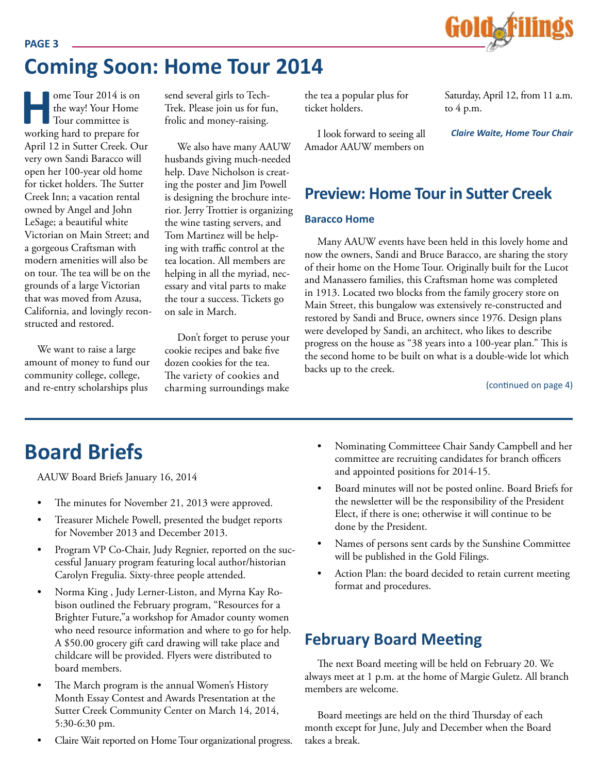

## **Coming Soon: Home Tour 2014**

**Home Tour 2014 is on<br>the way! Your Home<br>Tour committee is<br>working hard to prepare for** the way! Your Home Tour committee is working hard to prepare for April 12 in Sutter Creek. Our very own Sandi Baracco will open her 100-year old home for ticket holders. The Sutter Creek Inn; a vacation rental owned by Angel and John LeSage; a beautiful white Victorian on Main Street; and a gorgeous Craftsman with modern amenities will also be on tour. The tea will be on the grounds of a large Victorian that was moved from Azusa, California, and lovingly reconstructed and restored.

**PAGE 3**

We want to raise a large amount of money to fund our community college, college, and re-entry scholarships plus

send several girls to Tech-Trek. Please join us for fun, frolic and money-raising.

We also have many AAUW husbands giving much-needed help. Dave Nicholson is creating the poster and Jim Powell is designing the brochure interior. Jerry Trottier is organizing the wine tasting servers, and Tom Martinez will be helping with traffic control at the tea location. All members are helping in all the myriad, necessary and vital parts to make the tour a success. Tickets go on sale in March.

Don't forget to peruse your cookie recipes and bake five dozen cookies for the tea. The variety of cookies and charming surroundings make the tea a popular plus for ticket holders.

I look forward to seeing all Amador AAUW members on

Saturday, April 12, from 11 a.m. to  $4$  p.m.

*Claire Waite, Home Tour Chair*

#### **Preview: Home Tour in Sutter Creek**

#### **Baracco Home**

Many AAUW events have been held in this lovely home and now the owners, Sandi and Bruce Baracco, are sharing the story of their home on the Home Tour. Originally built for the Lucot and Manassero families, this Craftsman home was completed in 1913. Located two blocks from the family grocery store on Main Street, this bungalow was extensively re-constructed and restored by Sandi and Bruce, owners since 1976. Design plans were developed by Sandi, an architect, who likes to describe progress on the house as "38 years into a 100-year plan." This is the second home to be built on what is a double-wide lot which backs up to the creek.

(continued on page 4)

AAUW Board Briefs January 16, 2014

- The minutes for November 21, 2013 were approved.
- Treasurer Michele Powell, presented the budget reports for November 2013 and December 2013.
- Program VP Co-Chair, Judy Regnier, reported on the successful January program featuring local author/historian Carolyn Fregulia. Sixty-three people attended.
- Norma King, Judy Lerner-Liston, and Myrna Kay Robison outlined the February program, "Resources for a Brighter Future,"a workshop for Amador county women who need resource information and where to go for help. A \$50.00 grocery gift card drawing will take place and childcare will be provided. Flyers were distributed to board members.
- The March program is the annual Women's History Month Essay Contest and Awards Presentation at the Sutter Creek Community Center on March 14, 2014, 5:30-6:30 pm.
- Claire Wait reported on Home Tour organizational progress.
- **Board Briefs** Nominating Committeee Chair Sandy Campbell and her committee are recruiting candidates for branch officers and appointed positions for 2014-15.
	- Board minutes will not be posted online. Board Briefs for the newsletter will be the responsibility of the President Elect, if there is one; otherwise it will continue to be done by the President.
	- Names of persons sent cards by the Sunshine Committee will be published in the Gold Filings.
	- Action Plan: the board decided to retain current meeting format and procedures.

## **February Board Meeting**

The next Board meeting will be held on February 20. We always meet at 1 p.m. at the home of Margie Guletz. All branch members are welcome.

Board meetings are held on the third Thursday of each month except for June, July and December when the Board takes a break.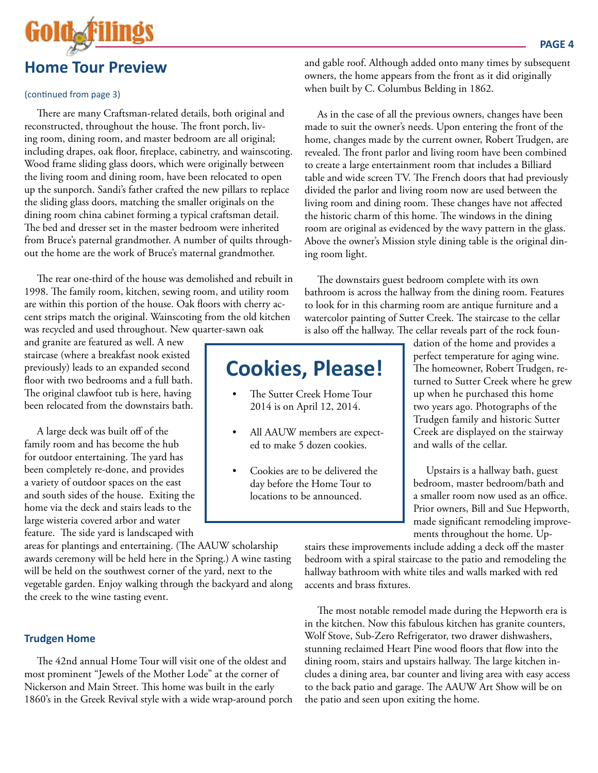

#### (continued from page 3)

There are many Craftsman-related details, both original and reconstructed, throughout the house. The front porch, living room, dining room, and master bedroom are all original; including drapes, oak floor, fireplace, cabinetry, and wainscoting. Wood frame sliding glass doors, which were originally between the living room and dining room, have been relocated to open up the sunporch. Sandi's father crafted the new pillars to replace the sliding glass doors, matching the smaller originals on the dining room china cabinet forming a typical craftsman detail. The bed and dresser set in the master bedroom were inherited from Bruce's paternal grandmother. A number of quilts throughout the home are the work of Bruce's maternal grandmother.

The rear one-third of the house was demolished and rebuilt in 1998. The family room, kitchen, sewing room, and utility room are within this portion of the house. Oak floors with cherry accent strips match the original. Wainscoting from the old kitchen was recycled and used throughout. New quarter-sawn oak

and granite are featured as well. A new staircase (where a breakfast nook existed previously) leads to an expanded second floor with two bedrooms and a full bath. The original clawfoot tub is here, having been relocated from the downstairs bath.

A large deck was built off of the family room and has become the hub for outdoor entertaining. The yard has been completely re-done, and provides a variety of outdoor spaces on the east and south sides of the house. Exiting the home via the deck and stairs leads to the large wisteria covered arbor and water feature. The side yard is landscaped with

areas for plantings and entertaining. (The AAUW scholarship awards ceremony will be held here in the Spring.) A wine tasting will be held on the southwest corner of the yard, next to the vegetable garden. Enjoy walking through the backyard and along the creek to the wine tasting event.

#### **Trudgen Home**

The 42nd annual Home Tour will visit one of the oldest and most prominent "Jewels of the Mother Lode" at the corner of Nickerson and Main Street. This home was built in the early 1860's in the Greek Revival style with a wide wrap-around porch and gable roof. Although added onto many times by subsequent owners, the home appears from the front as it did originally when built by C. Columbus Belding in 1862.

As in the case of all the previous owners, changes have been made to suit the owner's needs. Upon entering the front of the home, changes made by the current owner, Robert Trudgen, are revealed. The front parlor and living room have been combined to create a large entertainment room that includes a Billiard table and wide screen TV. The French doors that had previously divided the parlor and living room now are used between the living room and dining room. These changes have not affected the historic charm of this home. The windows in the dining room are original as evidenced by the wavy pattern in the glass. Above the owner's Mission style dining table is the original dining room light.

The downstairs guest bedroom complete with its own bathroom is across the hallway from the dining room. Features to look for in this charming room are antique furniture and a watercolor painting of Sutter Creek. The staircase to the cellar is also off the hallway. The cellar reveals part of the rock foun-

## **Cookies, Please!**

- The Sutter Creek Home Tour 2014 is on April 12, 2014.
- All AAUW members are expected to make 5 dozen cookies.
- Cookies are to be delivered the day before the Home Tour to locations to be announced.

dation of the home and provides a perfect temperature for aging wine. The homeowner, Robert Trudgen, returned to Sutter Creek where he grew up when he purchased this home two years ago. Photographs of the Trudgen family and historic Sutter Creek are displayed on the stairway and walls of the cellar.

Upstairs is a hallway bath, guest bedroom, master bedroom/bath and a smaller room now used as an office. Prior owners, Bill and Sue Hepworth, made significant remodeling improvements throughout the home. Up-

stairs these improvements include adding a deck off the master bedroom with a spiral staircase to the patio and remodeling the hallway bathroom with white tiles and walls marked with red accents and brass fixtures.

The most notable remodel made during the Hepworth era is in the kitchen. Now this fabulous kitchen has granite counters, Wolf Stove, Sub-Zero Refrigerator, two drawer dishwashers, stunning reclaimed Heart Pine wood floors that flow into the dining room, stairs and upstairs hallway. The large kitchen includes a dining area, bar counter and living area with easy access to the back patio and garage. The AAUW Art Show will be on the patio and seen upon exiting the home.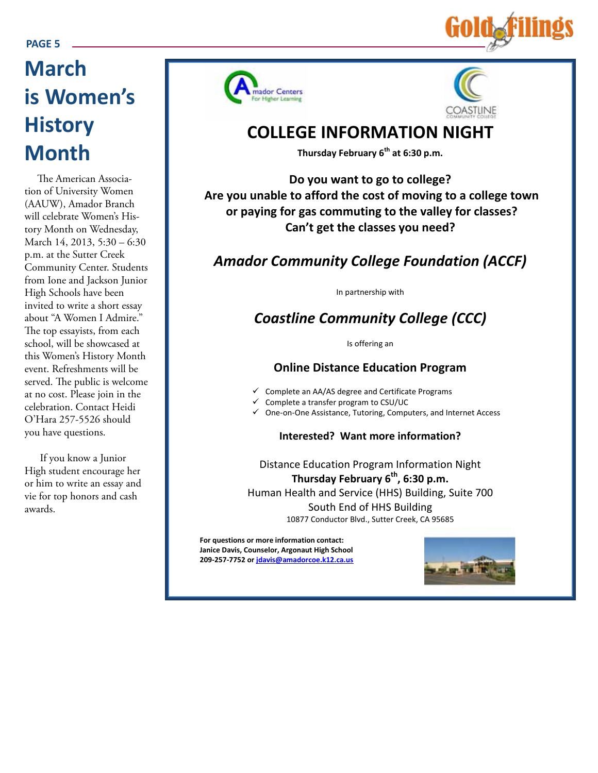#### **PAGE 5**

## **March is Women's History Month**

The American Association of University Women (AAUW), Amador Branch will celebrate Women's History Month on Wednesday, March 14, 2013, 5:30 – 6:30 p.m. at the Sutter Creek Community Center. Students from Ione and Jackson Junior High Schools have been invited to write a short essay about "A Women I Admire." The top essayists, from each school, will be showcased at this Women's History Month event. Refreshments will be served. The public is welcome at no cost. Please join in the celebration. Contact Heidi O'Hara 257-5526 should you have questions.

If you know a Junior High student encourage her or him to write an essay and vie for top honors and cash awards.





## **COLLEGE INFORMATION NIGHT**

**Thursday February 6th at 6:30 p.m.**

**Do you want to go to college? Are you unable to afford the cost of moving to a college town or paying for gas commuting to the valley for classes? Can't get the classes you need?**

### *Amador Community College Foundation (ACCF)*

In partnership with

## *Coastline Community College (CCC)*

Is offering an

#### **Online Distance Education Program**

- $\checkmark$  Complete an AA/AS degree and Certificate Programs
- Complete a transfer program to CSU/UC
- One-on-One Assistance, Tutoring, Computers, and Internet Access

#### **Interested? Want more information?**

Distance Education Program Information Night **Thursday February 6th, 6:30 p.m.** Human Health and Service (HHS) Building, Suite 700 South End of HHS Building 10877 Conductor Blvd., Sutter Creek, CA 95685

**For questions or more information contact: Janice Davis, Counselor, Argonaut High School 209-257-7752 or jdavis@amadorcoe.k12.ca.us**

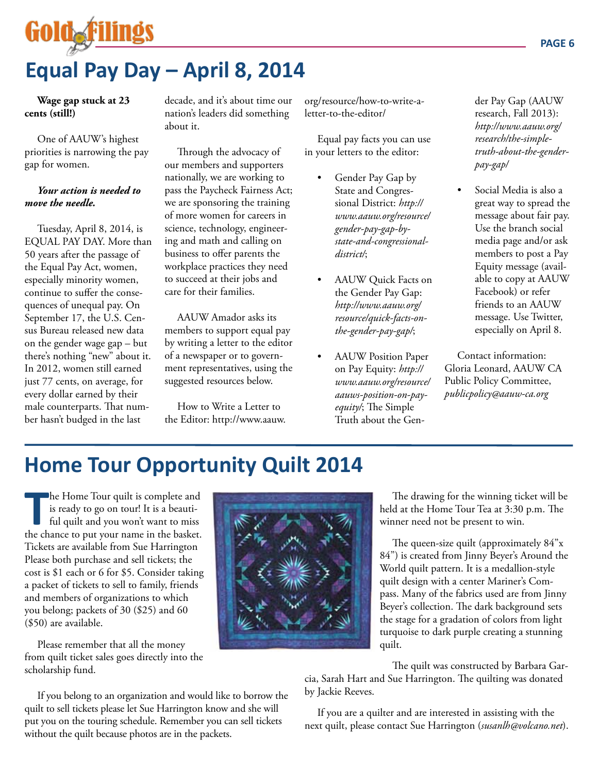# Goldaf

## **Equal Pay Day – April 8, 2014**

**Wage gap stuck at 23 cents (still!)** 

One of AAUW's highest priorities is narrowing the pay gap for women.

#### *Your action is needed to move the needle.*

Tuesday, April 8, 2014, is EQUAL PAY DAY. More than 50 years after the passage of the Equal Pay Act, women, especially minority women, continue to suffer the consequences of unequal pay. On September 17, the U.S. Census Bureau released new data on the gender wage gap – but there's nothing "new" about it. In 2012, women still earned just 77 cents, on average, for every dollar earned by their male counterparts. That number hasn't budged in the last

decade, and it's about time our nation's leaders did something about it.

Through the advocacy of our members and supporters nationally, we are working to pass the Paycheck Fairness Act; we are sponsoring the training of more women for careers in science, technology, engineering and math and calling on business to offer parents the workplace practices they need to succeed at their jobs and care for their families.

AAUW Amador asks its members to support equal pay by writing a letter to the editor of a newspaper or to government representatives, using the suggested resources below.

How to Write a Letter to the Editor: http://www.aauw. org/resource/how-to-write-aletter-to-the-editor/

Equal pay facts you can use in your letters to the editor:

- Gender Pay Gap by State and Congressional District: *http:// www.aauw.org/resource/ gender-pay-gap-bystate-and-congressionaldistrict/*;
- AAUW Quick Facts on the Gender Pay Gap: *http://www.aauw.org/ resource/quick-facts-onthe-gender-pay-gap/*;
- AAUW Position Paper on Pay Equity: *http:// www.aauw.org/resource/ aauws-position-on-payequity/*; The Simple Truth about the Gen-

der Pay Gap (AAUW research, Fall 2013): *http://www.aauw.org/ research/the-simpletruth-about-the-genderpay-gap/*

Social Media is also a great way to spread the message about fair pay. Use the branch social media page and/or ask members to post a Pay Equity message (available to copy at AAUW Facebook) or refer friends to an AAUW message. Use Twitter, especially on April 8.

Contact information: Gloria Leonard, AAUW CA Public Policy Committee, *publicpolicy@aauw-ca.org* 

## **Home Tour Opportunity Quilt 2014**

**The Home Tour quilt is complete and is ready to go on tour! It is a beautiful quilt and you won't want to miss the chance to put your name in the basket.** he Home Tour quilt is complete and is ready to go on tour! It is a beautiful quilt and you won't want to miss Tickets are available from Sue Harrington Please both purchase and sell tickets; the cost is \$1 each or 6 for \$5. Consider taking a packet of tickets to sell to family, friends and members of organizations to which you belong; packets of 30 (\$25) and 60 (\$50) are available.

Please remember that all the money from quilt ticket sales goes directly into the scholarship fund.

without the quilt because photos are in the packets.

If you belong to an organization and would like to borrow the quilt to sell tickets please let Sue Harrington know and she will put you on the touring schedule. Remember you can sell tickets



The drawing for the winning ticket will be held at the Home Tour Tea at 3:30 p.m. The winner need not be present to win.

The queen-size quilt (approximately 84"x 84") is created from Jinny Beyer's Around the World quilt pattern. It is a medallion-style quilt design with a center Mariner's Compass. Many of the fabrics used are from Jinny Beyer's collection. The dark background sets the stage for a gradation of colors from light turquoise to dark purple creating a stunning quilt.

The quilt was constructed by Barbara Gar-

cia, Sarah Hart and Sue Harrington. The quilting was donated by Jackie Reeves.

If you are a quilter and are interested in assisting with the next quilt, please contact Sue Harrington (*susanlh@volcano.net*).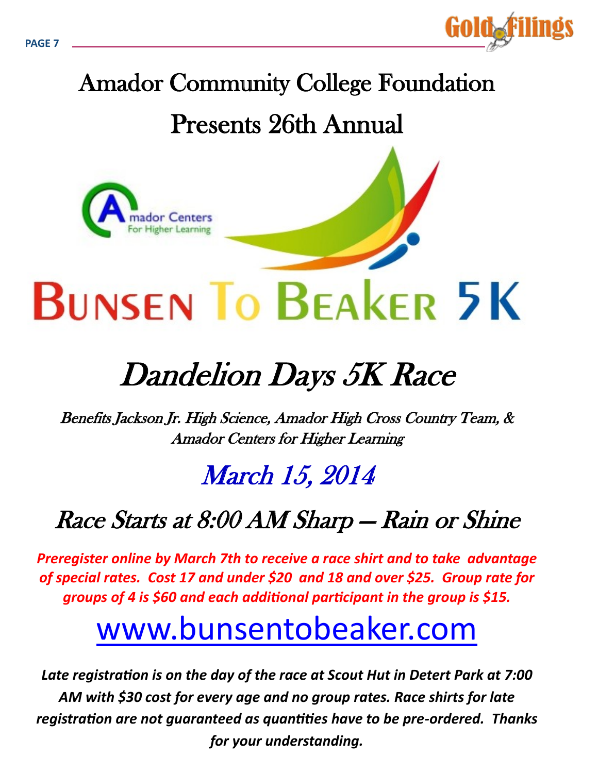

# Amador Community College Foundation Presents 26th Annual



# Dandelion Days 5K Race

Benefits Jackson Jr. High Science, Amador High Cross Country Team, & Amador Centers for Higher Learning

## March 15, 2014

## Race Starts at 8:00 AM Sharp — Rain or Shine

*Preregister online by March 7th to receive a race shirt and to take advantage of special rates. Cost 17 and under \$20 and 18 and over \$25. Group rate for groups of 4 is \$60 and each additional participant in the group is \$15.* 

# www.bunsentobeaker.com

*Late registration is on the day of the race at Scout Hut in Detert Park at 7:00 AM with \$30 cost for every age and no group rates. Race shirts for late registration are not guaranteed as quantities have to be pre-ordered. Thanks for your understanding.*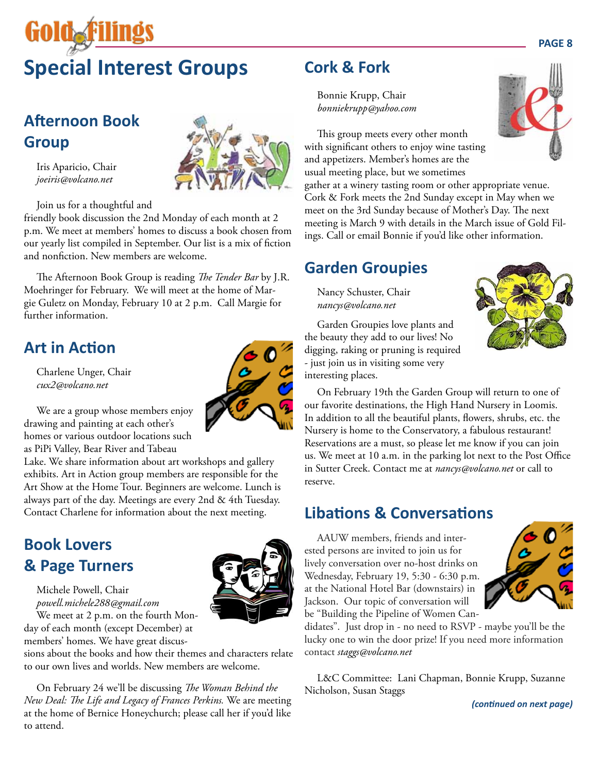# GOIOAF **Special Interest Groups**

## **Afternoon Book Group**

Iris Aparicio, Chair *joeiris@volcano.net*

Join us for a thoughtful and

friendly book discussion the 2nd Monday of each month at 2 p.m. We meet at members' homes to discuss a book chosen from our yearly list compiled in September. Our list is a mix of fiction and nonfiction. New members are welcome.

The Afternoon Book Group is reading *The Tender Bar* by J.R. Moehringer for February. We will meet at the home of Margie Guletz on Monday, February 10 at 2 p.m. Call Margie for further information.

## **Art in Action**

Charlene Unger, Chair *cux2@volcano.net*

We are a group whose members enjoy drawing and painting at each other's homes or various outdoor locations such as PiPi Valley, Bear River and Tabeau

Lake. We share information about art workshops and gallery exhibits. Art in Action group members are responsible for the Art Show at the Home Tour. Beginners are welcome. Lunch is always part of the day. Meetings are every 2nd & 4th Tuesday. Contact Charlene for information about the next meeting.

## **Book Lovers & Page Turners**

Michele Powell, Chair *powell.michele288@gmail.com* We meet at 2 p.m. on the fourth Monday of each month (except December) at

members' homes. We have great discus-

sions about the books and how their themes and characters relate to our own lives and worlds. New members are welcome.

On February 24 we'll be discussing *The Woman Behind the New Deal: The Life and Legacy of Frances Perkins.* We are meeting at the home of Bernice Honeychurch; please call her if you'd like to attend.

## **Cork & Fork**

Bonnie Krupp, Chair *bonniekrupp@yahoo.com*

This group meets every other month with significant others to enjoy wine tasting and appetizers. Member's homes are the usual meeting place, but we sometimes

gather at a winery tasting room or other appropriate venue. Cork & Fork meets the 2nd Sunday except in May when we meet on the 3rd Sunday because of Mother's Day. The next meeting is March 9 with details in the March issue of Gold Filings. Call or email Bonnie if you'd like other information.

## **Garden Groupies**

Nancy Schuster, Chair *nancys@volcano.net*

Garden Groupies love plants and the beauty they add to our lives! No digging, raking or pruning is required - just join us in visiting some very interesting places.

On February 19th the Garden Group will return to one of our favorite destinations, the High Hand Nursery in Loomis. In addition to all the beautiful plants, flowers, shrubs, etc. the Nursery is home to the Conservatory, a fabulous restaurant! Reservations are a must, so please let me know if you can join us. We meet at 10 a.m. in the parking lot next to the Post Office in Sutter Creek. Contact me at *nancys@volcano.net* or call to reserve.

## **Libations & Conversations**

AAUW members, friends and interested persons are invited to join us for lively conversation over no-host drinks on Wednesday, February 19, 5:30 - 6:30 p.m. at the National Hotel Bar (downstairs) in Jackson. Our topic of conversation will be "Building the Pipeline of Women Can-

didates". Just drop in - no need to RSVP - maybe you'll be the lucky one to win the door prize! If you need more information contact *staggs@volcano.net*

L&C Committee: Lani Chapman, Bonnie Krupp, Suzanne Nicholson, Susan Staggs

*(continued on next page)*